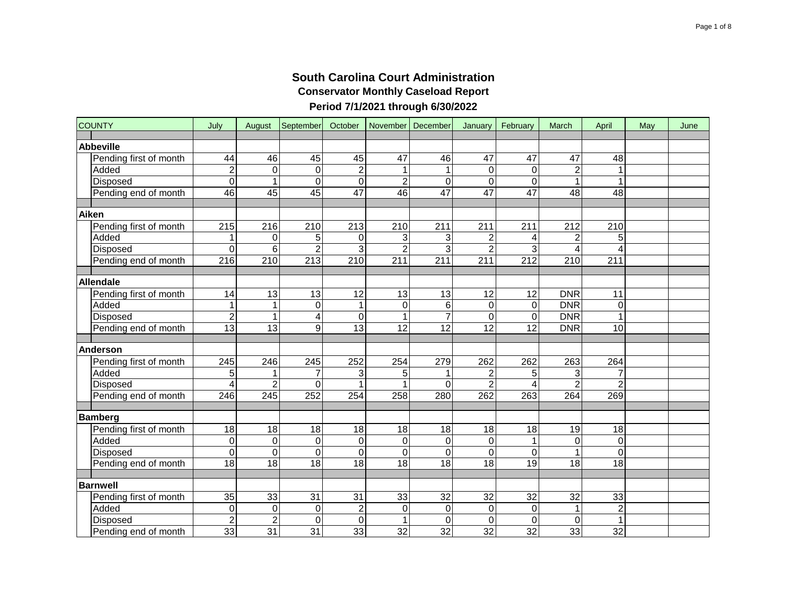| <b>COUNTY</b>          | July             | August          | September        | October         |                 | November   December | January             | February        | March           | April                   | May | June |
|------------------------|------------------|-----------------|------------------|-----------------|-----------------|---------------------|---------------------|-----------------|-----------------|-------------------------|-----|------|
| <b>Abbeville</b>       |                  |                 |                  |                 |                 |                     |                     |                 |                 |                         |     |      |
| Pending first of month | 44               | 46              | 45               | 45              | $\overline{47}$ | 46                  | 47                  | 47              | 47              | 48                      |     |      |
| Added                  | $\boldsymbol{2}$ | $\mathbf 0$     | $\mathbf 0$      | $\overline{c}$  | $\mathbf{1}$    | 1                   | $\mathbf 0$         | $\mathbf 0$     | $\overline{c}$  |                         |     |      |
| Disposed               | $\overline{0}$   | 1               | $\mathbf 0$      | $\Omega$        | $\overline{2}$  | 0                   | $\mathbf 0$         | $\overline{0}$  |                 |                         |     |      |
| Pending end of month   | 46               | $\overline{45}$ | 45               | $\overline{47}$ | 46              | 47                  | 47                  | 47              | $\overline{48}$ | $\overline{48}$         |     |      |
| Aiken                  |                  |                 |                  |                 |                 |                     |                     |                 |                 |                         |     |      |
| Pending first of month | 215              | 216             | 210              | 213             | 210             | 211                 | 211                 | 211             | 212             | 210                     |     |      |
| Added                  | 1                | 0               | 5                | $\mathbf 0$     | 3               | 3                   | $\overline{2}$      | 4               | $\overline{c}$  | 5                       |     |      |
| <b>Disposed</b>        | $\overline{0}$   | 6               | $\overline{2}$   | 3               | $\overline{2}$  | 3                   | $\overline{2}$      | 3               | 4               | $\overline{\mathbf{4}}$ |     |      |
| Pending end of month   | 216              | 210             | 213              | 210             | 211             | 211                 | 211                 | 212             | 210             | 211                     |     |      |
|                        |                  |                 |                  |                 |                 |                     |                     |                 |                 |                         |     |      |
| Allendale              |                  |                 |                  |                 |                 |                     |                     |                 |                 |                         |     |      |
| Pending first of month | 14               | 13              | 13               | 12              | 13              | 13                  | 12                  | 12              | <b>DNR</b>      | 11                      |     |      |
| Added                  | $\mathbf{1}$     | $\mathbf{1}$    | $\boldsymbol{0}$ | 1               | $\mathbf 0$     | 6                   | $\mathsf 0$         | $\mathbf 0$     | DNR             | 0                       |     |      |
| Disposed               | $\overline{2}$   | $\mathbf{1}$    | 4                | 0               | $\mathbf{1}$    | $\overline{7}$      | $\mathsf{O}\xspace$ | $\mathbf 0$     | <b>DNR</b>      | $\mathbf{1}$            |     |      |
| Pending end of month   | 13               | $\overline{13}$ | $\boldsymbol{9}$ | 13              | 12              | $\overline{12}$     | $\overline{12}$     | $\overline{12}$ | <b>DNR</b>      | 10                      |     |      |
|                        |                  |                 |                  |                 |                 |                     |                     |                 |                 |                         |     |      |
| Anderson               |                  |                 |                  |                 |                 |                     |                     |                 |                 |                         |     |      |
| Pending first of month | 245              | 246             | 245              | 252             | 254             | 279                 | 262                 | 262             | 263             | 264                     |     |      |
| Added                  | 5                | 1               | $\overline{7}$   | 3               | 5               | 1                   | $\boldsymbol{2}$    | 5               | 3               | 7                       |     |      |
| Disposed               | 4                | $\overline{2}$  | $\mathbf 0$      |                 | 1               | 0                   | $\overline{c}$      | 4               | $\overline{2}$  | $\overline{2}$          |     |      |
| Pending end of month   | $\overline{246}$ | 245             | 252              | 254             | 258             | 280                 | 262                 | 263             | 264             | 269                     |     |      |
|                        |                  |                 |                  |                 |                 |                     |                     |                 |                 |                         |     |      |
| <b>Bamberg</b>         |                  |                 |                  |                 |                 |                     |                     |                 |                 |                         |     |      |
| Pending first of month | 18               | $\overline{18}$ | 18               | 18              | $\overline{18}$ | $\overline{18}$     | $\overline{18}$     | 18              | 19              | 18                      |     |      |
| Added                  | $\mathbf 0$      | $\mathbf 0$     | $\mathbf 0$      | $\Omega$        | $\mathbf 0$     | 0                   | $\mathsf{O}\xspace$ | $\mathbf{1}$    | 0               | $\boldsymbol{0}$        |     |      |
| Disposed               | $\mathbf 0$      | $\overline{0}$  | $\mathbf 0$      | $\mathbf 0$     | $\overline{0}$  | 0                   | $\mathbf 0$         | $\mathbf 0$     |                 | $\mathsf 0$             |     |      |
| Pending end of month   | $\overline{18}$  | $\overline{18}$ | $\overline{18}$  | 18              | $\overline{18}$ | $\overline{18}$     | $\overline{18}$     | $\overline{19}$ | $\overline{18}$ | $\overline{18}$         |     |      |
| <b>Barnwell</b>        |                  |                 |                  |                 |                 |                     |                     |                 |                 |                         |     |      |
| Pending first of month | 35               | $\overline{33}$ | 31               | 31              | 33              | 32                  | 32                  | 32              | 32              | 33                      |     |      |
| Added                  | $\mathbf 0$      | $\mathbf 0$     | $\boldsymbol{0}$ | $\overline{2}$  | $\mathbf 0$     | 0                   | $\pmb{0}$           | $\mathbf 0$     | 1               | $\mathbf 2$             |     |      |
| Disposed               | $\overline{2}$   | $\overline{2}$  | $\mathbf 0$      | $\mathbf 0$     | $\mathbf{1}$    | 0                   | $\mathbf 0$         | $\mathbf 0$     | 0               | $\mathbf{1}$            |     |      |
| Pending end of month   | 33               | $\overline{31}$ | $\overline{31}$  | $\overline{33}$ | $\overline{32}$ | $\overline{32}$     | $\overline{32}$     | $\overline{32}$ | 33              | $\overline{32}$         |     |      |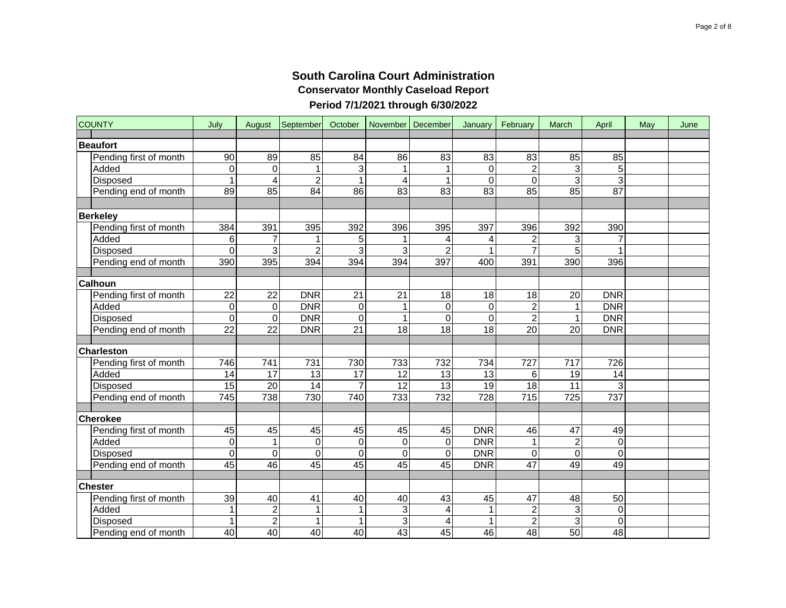| <b>COUNTY</b>          | July             | August          | September       | October         | November   December |                 | January         | February         | March            | April           | May | June |
|------------------------|------------------|-----------------|-----------------|-----------------|---------------------|-----------------|-----------------|------------------|------------------|-----------------|-----|------|
| <b>Beaufort</b>        |                  |                 |                 |                 |                     |                 |                 |                  |                  |                 |     |      |
| Pending first of month | 90               | 89              | 85              | 84              | 86                  | 83              | 83              | 83               | 85               | 85              |     |      |
| Added                  | $\mathbf 0$      | $\mathbf 0$     | 1               | 3               | 1                   |                 | 0               | $\overline{c}$   | 3                | 5               |     |      |
| Disposed               | $\overline{1}$   | $\overline{4}$  | $\overline{2}$  | 1               | 4                   |                 | 0               | $\Omega$         | 3                | 3               |     |      |
| Pending end of month   | 89               | 85              | 84              | 86              | 83                  | 83              | 83              | 85               | 85               | $\overline{87}$ |     |      |
|                        |                  |                 |                 |                 |                     |                 |                 |                  |                  |                 |     |      |
| <b>Berkeley</b>        |                  |                 |                 |                 |                     |                 |                 |                  |                  |                 |     |      |
| Pending first of month | 384              | 391             | 395             | 392             | 396                 | 395             | 397             | 396              | 392              | 390             |     |      |
| Added                  | 6                | $\overline{7}$  | 1               | 5               |                     |                 | 4               | $\overline{c}$   | 3                |                 |     |      |
| Disposed               | $\overline{0}$   | 3               | $\overline{2}$  | 3               | 3                   | $\overline{2}$  | 1               | $\overline{7}$   | $\overline{5}$   |                 |     |      |
| Pending end of month   | 390              | 395             | 394             | 394             | 394                 | 397             | 400             | 391              | 390              | 396             |     |      |
|                        |                  |                 |                 |                 |                     |                 |                 |                  |                  |                 |     |      |
| <b>Calhoun</b>         |                  |                 |                 |                 |                     |                 |                 |                  |                  |                 |     |      |
| Pending first of month | $\overline{22}$  | $\overline{22}$ | <b>DNR</b>      | $\overline{21}$ | $\overline{21}$     | $\overline{18}$ | $\overline{18}$ | $\overline{18}$  | $\overline{20}$  | <b>DNR</b>      |     |      |
| Added                  | 0                | $\mathbf 0$     | <b>DNR</b>      | $\mathbf 0$     | 1                   | $\mathbf 0$     | 0               | $\overline{c}$   | 1                | <b>DNR</b>      |     |      |
| Disposed               | $\overline{0}$   | $\overline{0}$  | <b>DNR</b>      | $\mathbf 0$     | 1                   | 0               | 0               | $\overline{2}$   | 1                | <b>DNR</b>      |     |      |
| Pending end of month   | $\overline{22}$  | $\overline{22}$ | <b>DNR</b>      | 21              | $\overline{18}$     | 18              | 18              | $\overline{20}$  | 20               | <b>DNR</b>      |     |      |
| Charleston             |                  |                 |                 |                 |                     |                 |                 |                  |                  |                 |     |      |
| Pending first of month | 746              | 741             | 731             | 730             | 733                 | 732             | 734             | 727              | $\overline{717}$ | 726             |     |      |
| Added                  | 14               | 17              | 13              | 17              | 12                  | 13              | 13              | 6                | 19               | 14              |     |      |
| Disposed               | $\overline{15}$  | $\overline{20}$ | $\overline{14}$ | $\overline{7}$  | $\overline{12}$     | $\overline{13}$ | $\overline{19}$ | $\overline{18}$  | $\overline{11}$  | 3               |     |      |
| Pending end of month   | $\overline{745}$ | 738             | 730             | 740             | 733                 | 732             | 728             | $\overline{715}$ | 725              | 737             |     |      |
|                        |                  |                 |                 |                 |                     |                 |                 |                  |                  |                 |     |      |
| <b>Cherokee</b>        |                  |                 |                 |                 |                     |                 |                 |                  |                  |                 |     |      |
| Pending first of month | 45               | 45              | 45              | 45              | 45                  | 45              | <b>DNR</b>      | 46               | 47               | 49              |     |      |
| Added                  | $\pmb{0}$        | 1               | 0               | $\mathbf 0$     | 0                   | 0               | <b>DNR</b>      | $\mathbf{1}$     | $\overline{2}$   | $\overline{0}$  |     |      |
| Disposed               | $\mathbf 0$      | $\mathbf 0$     | $\mathbf 0$     | $\mathbf 0$     | 0                   | $\mathbf 0$     | <b>DNR</b>      | 0                | $\mathbf 0$      | $\mathbf 0$     |     |      |
| Pending end of month   | 45               | 46              | 45              | 45              | 45                  | 45              | <b>DNR</b>      | $\overline{47}$  | 49               | 49              |     |      |
|                        |                  |                 |                 |                 |                     |                 |                 |                  |                  |                 |     |      |
| <b>Chester</b>         |                  |                 |                 |                 |                     |                 |                 |                  |                  |                 |     |      |
| Pending first of month | 39               | 40              | 41              | 40              | 40                  | 43              | 45              | 47               | 48               | 50              |     |      |
| Added                  | $\overline{1}$   | $\overline{2}$  | $\mathbf{1}$    | $\overline{1}$  | $\overline{3}$      | 4               | $\overline{1}$  | $\overline{2}$   | $\overline{3}$   | $\overline{0}$  |     |      |
| Disposed               | $\mathbf 1$      | $\overline{c}$  | 1               | 1               | 3                   | 4               | 1               | $\overline{c}$   | 3                | $\mathsf 0$     |     |      |
| Pending end of month   | 40               | 40              | 40              | 40              | 43                  | 45              | 46              | 48               | 50               | 48              |     |      |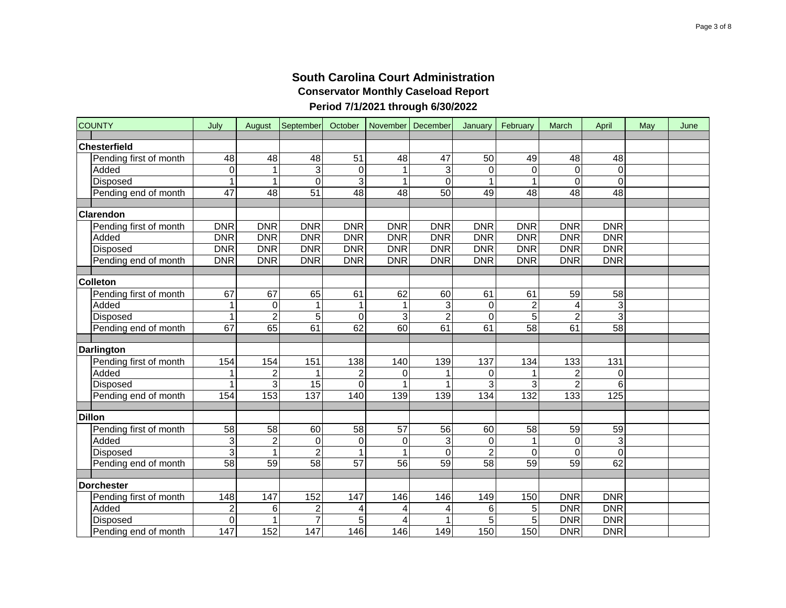# **South Carolina Court Administration Conservator Monthly Caseload Report**

# **Period 7/1/2021 through 6/30/2022**

| <b>COUNTY</b>                   | July                      | August          | September      | October         | November   | December        | January         | February                | March            | April             | May | June |
|---------------------------------|---------------------------|-----------------|----------------|-----------------|------------|-----------------|-----------------|-------------------------|------------------|-------------------|-----|------|
| Chesterfield                    |                           |                 |                |                 |            |                 |                 |                         |                  |                   |     |      |
|                                 | 48                        |                 |                | 51              |            | 47              | 50              |                         | 48               |                   |     |      |
| Pending first of month<br>Added | $\mathbf 0$               | 48<br>1         | 48<br>3        |                 | 48         | 3               | 0               | 49<br>0                 | $\mathbf 0$      | 48<br>$\mathbf 0$ |     |      |
| Disposed                        | 1                         | 1               | $\Omega$       | 0<br>3          |            | $\Omega$        | 1               | 1                       | $\overline{0}$   | $\mathbf 0$       |     |      |
| Pending end of month            | $\overline{47}$           | $\overline{48}$ | 51             | $\overline{48}$ | 48         | 50              | 49              | $\overline{48}$         | $\overline{48}$  | $\overline{48}$   |     |      |
|                                 |                           |                 |                |                 |            |                 |                 |                         |                  |                   |     |      |
| <b>Clarendon</b>                |                           |                 |                |                 |            |                 |                 |                         |                  |                   |     |      |
| Pending first of month          | <b>DNR</b>                | <b>DNR</b>      | <b>DNR</b>     | <b>DNR</b>      | <b>DNR</b> | <b>DNR</b>      | <b>DNR</b>      | <b>DNR</b>              | <b>DNR</b>       | <b>DNR</b>        |     |      |
| Added                           | <b>DNR</b>                | <b>DNR</b>      | <b>DNR</b>     | <b>DNR</b>      | <b>DNR</b> | <b>DNR</b>      | <b>DNR</b>      | <b>DNR</b>              | <b>DNR</b>       | <b>DNR</b>        |     |      |
| Disposed                        | <b>DNR</b>                | <b>DNR</b>      | <b>DNR</b>     | DNR             | <b>DNR</b> | <b>DNR</b>      | <b>DNR</b>      | <b>DNR</b>              | DNR              | <b>DNR</b>        |     |      |
| Pending end of month            | <b>DNR</b>                | <b>DNR</b>      | <b>DNR</b>     | DNR             | <b>DNR</b> | <b>DNR</b>      | <b>DNR</b>      | <b>DNR</b>              | <b>DNR</b>       | DNR               |     |      |
|                                 |                           |                 |                |                 |            |                 |                 |                         |                  |                   |     |      |
| <b>Colleton</b>                 |                           |                 |                |                 |            |                 |                 |                         |                  |                   |     |      |
| Pending first of month          | 67                        | 67              | 65             | 61              | 62         | 60              | 61              | 61                      | 59               | 58                |     |      |
| Added                           | $\mathbf 1$               | $\mathbf 0$     | $\mathbf{1}$   | $\mathbf{1}$    |            | 3               | $\mathbf 0$     | $\overline{\mathbf{c}}$ | 4                | $\overline{3}$    |     |      |
| Disposed                        | 1                         | $\overline{c}$  | 5              | $\mathbf 0$     | 3          | $\overline{c}$  | $\pmb{0}$       | $\overline{5}$          | $\overline{2}$   | 3                 |     |      |
| Pending end of month            | 67                        | 65              | 61             | 62              | 60         | 61              | 61              | 58                      | 61               | 58                |     |      |
|                                 |                           |                 |                |                 |            |                 |                 |                         |                  |                   |     |      |
| <b>Darlington</b>               |                           |                 |                |                 |            |                 |                 |                         |                  |                   |     |      |
| Pending first of month          | 154                       | 154             | 151            | 138             | 140        | 139             | 137             | 134                     | 133              | 131               |     |      |
| Added                           | 1                         | $\overline{c}$  |                | $\overline{2}$  | 0          |                 | 0               | 1                       | $\overline{2}$   | $\boldsymbol{0}$  |     |      |
| <b>Disposed</b>                 | 1                         | 3               | 15             | $\mathbf 0$     |            |                 | 3               | 3                       | $\overline{2}$   | 6                 |     |      |
| Pending end of month            | 154                       | 153             | 137            | 140             | 139        | 139             | 134             | 132                     | $\overline{133}$ | 125               |     |      |
|                                 |                           |                 |                |                 |            |                 |                 |                         |                  |                   |     |      |
| <b>Dillon</b>                   |                           |                 |                |                 |            |                 |                 |                         |                  |                   |     |      |
| Pending first of month          | $\overline{58}$           | 58              | 60             | 58              | 57         | $\overline{56}$ | 60              | 58                      | 59               | 59                |     |      |
| Added                           | $\ensuremath{\mathsf{3}}$ | $\overline{2}$  | $\mathbf 0$    | $\mathbf 0$     | 0          | 3               | 0               | $\mathbf{1}$            | $\mathbf 0$      | $\mathsf 3$       |     |      |
| Disposed                        | $\overline{3}$            | 1               | $\overline{2}$ | 1               |            | $\Omega$        | $\overline{c}$  | $\mathbf 0$             | 0                | $\mathbf 0$       |     |      |
| Pending end of month            | 58                        | $\overline{59}$ | 58             | $\overline{57}$ | 56         | $\overline{59}$ | $\overline{58}$ | $\overline{59}$         | $\overline{59}$  | 62                |     |      |
| <b>Dorchester</b>               |                           |                 |                |                 |            |                 |                 |                         |                  |                   |     |      |
| Pending first of month          | 148                       | 147             | 152            | 147             | 146        | 146             | 149             | 150                     | <b>DNR</b>       | <b>DNR</b>        |     |      |
| Added                           | $\overline{c}$            | 6               | $\overline{c}$ | 4               | 4          | 4               | 6               | 5                       | <b>DNR</b>       | <b>DNR</b>        |     |      |
| <b>Disposed</b>                 | 0                         | 1               | $\overline{7}$ | 5               | 4          | 1               | 5               | $\overline{5}$          | <b>DNR</b>       | <b>DNR</b>        |     |      |
| Pending end of month            | 147                       | 152             | 147            | 146             | 146        | 149             | 150             | 150                     | <b>DNR</b>       | <b>DNR</b>        |     |      |
|                                 |                           |                 |                |                 |            |                 |                 |                         |                  |                   |     |      |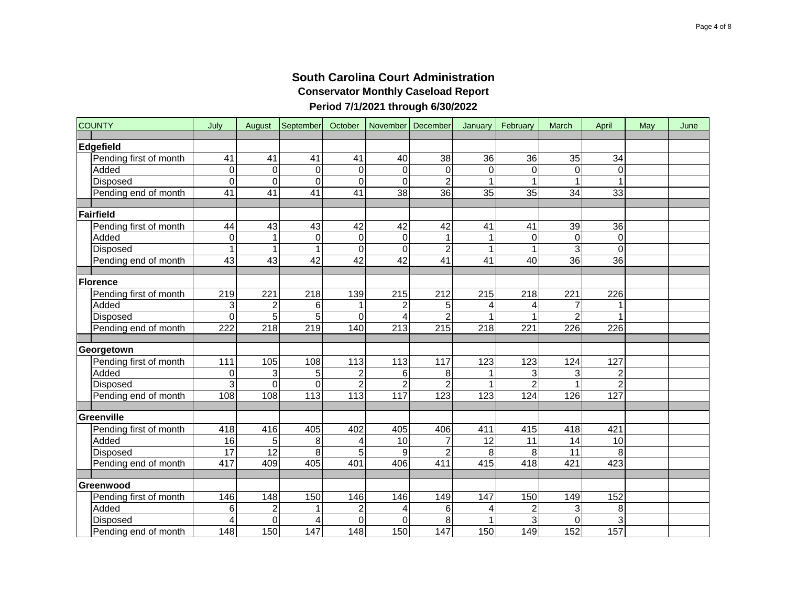| <b>COUNTY</b>          | July                  | August               | September        | October          | November   December |                       | January         | February        | March            | April           | May | June |
|------------------------|-----------------------|----------------------|------------------|------------------|---------------------|-----------------------|-----------------|-----------------|------------------|-----------------|-----|------|
| Edgefield              |                       |                      |                  |                  |                     |                       |                 |                 |                  |                 |     |      |
| Pending first of month | 41                    | 41                   | 41               | 41               | 40                  | 38                    | 36              | 36              | 35               | 34              |     |      |
| Added                  | 0                     | $\mathbf 0$          | $\boldsymbol{0}$ | 0                | 0                   | 0                     | 0               | 0               | $\boldsymbol{0}$ | 0               |     |      |
| Disposed               | $\mathbf 0$           | $\mathbf 0$          | 0                | $\mathbf 0$      | 0                   | $\overline{2}$        | 1               | 1               | 1                | $\mathbf{1}$    |     |      |
| Pending end of month   | 41                    | 41                   | $\overline{41}$  | 41               | $\overline{38}$     | 36                    | $\overline{35}$ | $\overline{35}$ | 34               | $\overline{33}$ |     |      |
|                        |                       |                      |                  |                  |                     |                       |                 |                 |                  |                 |     |      |
| Fairfield              |                       |                      |                  |                  |                     |                       |                 |                 |                  |                 |     |      |
| Pending first of month | 44                    | 43                   | 43               | 42               | 42                  | 42                    | 41              | 41              | 39               | 36              |     |      |
| Added                  | $\mathbf 0$           | $\mathbf{1}$         | 0                | $\mathbf 0$      | 0                   |                       | 1               | 0               | 0                | 0               |     |      |
| <b>Disposed</b>        | $\overline{1}$        | $\mathbf 1$          | $\overline{1}$   | $\mathbf 0$      | 0                   | $\overline{2}$        | 1               | 1               | 3                | $\overline{0}$  |     |      |
| Pending end of month   | 43                    | 43                   | 42               | 42               | 42                  | 41                    | 41              | 40              | 36               | $\overline{36}$ |     |      |
|                        |                       |                      |                  |                  |                     |                       |                 |                 |                  |                 |     |      |
| Florence               |                       |                      |                  |                  |                     |                       |                 |                 |                  |                 |     |      |
| Pending first of month | 219                   | 221                  | 218              | 139              | 215                 | 212                   | 215             | 218             | 221              | 226             |     |      |
| Added                  | 3                     | $\overline{c}$       | 6                | 1                | 2                   | 5                     | 4               | 4               | 7                | 1               |     |      |
| Disposed               | $\mathbf 0$           | 5                    | 5                | $\mathbf 0$      | 4                   | 2                     | 1               | 1               | $\overline{c}$   | 1               |     |      |
| Pending end of month   | 222                   | $\overline{218}$     | 219              | 140              | 213                 | $\overline{215}$      | 218             | 221             | 226              | 226             |     |      |
|                        |                       |                      |                  |                  |                     |                       |                 |                 |                  |                 |     |      |
| Georgetown             |                       |                      |                  |                  |                     |                       |                 |                 |                  |                 |     |      |
| Pending first of month | 111                   | 105                  | 108              | 113              | 113                 | 117                   | 123             | 123             | 124              | 127             |     |      |
| Added                  | $\mathbf 0$           | 3                    | 5                | $\overline{2}$   | 6                   | 8                     | 1               | 3               | 3                | $\overline{2}$  |     |      |
| Disposed               | $\overline{3}$        | $\overline{0}$       | 0                | $\overline{2}$   | $\overline{2}$      | $\overline{2}$        | 1               | $\overline{2}$  | $\overline{1}$   | $\overline{2}$  |     |      |
| Pending end of month   | 108                   | 108                  | $\overline{113}$ | 113              | 117                 | 123                   | 123             | 124             | 126              | 127             |     |      |
|                        |                       |                      |                  |                  |                     |                       |                 |                 |                  |                 |     |      |
| Greenville             |                       |                      |                  |                  |                     |                       |                 |                 |                  |                 |     |      |
| Pending first of month | 418                   | 416                  | 405              | 402              | 405                 | 406<br>7              | 411             | 415             | 418              | 421             |     |      |
| Added                  | 16<br>$\overline{17}$ | 5<br>$\overline{12}$ | 8                | 4                | 10                  |                       | 12              | 11              | 14<br>11         | 10<br>8         |     |      |
| <b>Disposed</b>        | $\overline{417}$      | 409                  | 8<br>405         | 5<br>401         | 9<br>406            | $\overline{2}$<br>411 | 8<br>415        | 8<br>418        | 421              | 423             |     |      |
| Pending end of month   |                       |                      |                  |                  |                     |                       |                 |                 |                  |                 |     |      |
| Greenwood              |                       |                      |                  |                  |                     |                       |                 |                 |                  |                 |     |      |
| Pending first of month | 146                   | 148                  | 150              | 146              | 146                 | 149                   | 147             | 150             | 149              | 152             |     |      |
| Added                  | 6                     | $\overline{c}$       | 1                | $\overline{c}$   | 4                   | 6                     | 4               | $\overline{c}$  | 3                | 8               |     |      |
| Disposed               | 4                     | $\mathbf 0$          | 4                | $\mathbf 0$      | 0                   | 8                     | 1               | 3               | 0                | 3               |     |      |
| Pending end of month   | $\overline{148}$      | 150                  | 147              | $\overline{148}$ | 150                 | 147                   | 150             | 149             | 152              | 157             |     |      |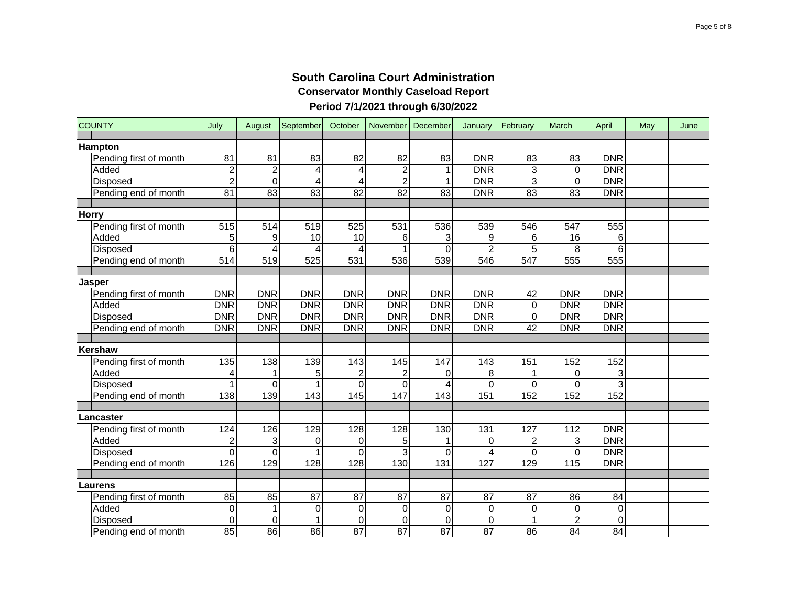| <b>COUNTY</b>   |                        | July           | August          | September       | October         | November   December     |                | January           | February         | March             | April           | May | June |
|-----------------|------------------------|----------------|-----------------|-----------------|-----------------|-------------------------|----------------|-------------------|------------------|-------------------|-----------------|-----|------|
| <b>Hampton</b>  |                        |                |                 |                 |                 |                         |                |                   |                  |                   |                 |     |      |
|                 | Pending first of month | 81             | 81              | 83              | 82              | 82                      | 83             | <b>DNR</b>        | 83               | 83                | <b>DNR</b>      |     |      |
| Added           |                        | $\overline{2}$ | $\overline{c}$  | 4               | 4               | $\overline{\mathbf{c}}$ | $\mathbf 1$    | <b>DNR</b>        | 3                | $\boldsymbol{0}$  | <b>DNR</b>      |     |      |
| Disposed        |                        | $\overline{2}$ | $\overline{0}$  | 4               | 4               | $\overline{2}$          | 1              | <b>DNR</b>        | $\overline{3}$   | $\mathbf 0$       | <b>DNR</b>      |     |      |
|                 | Pending end of month   | 81             | $\overline{83}$ | $\overline{83}$ | $\overline{82}$ | $\overline{82}$         | 83             | <b>DNR</b>        | 83               | $\overline{83}$   | <b>DNR</b>      |     |      |
|                 |                        |                |                 |                 |                 |                         |                |                   |                  |                   |                 |     |      |
| <b>Horry</b>    |                        |                |                 |                 |                 |                         |                |                   |                  |                   |                 |     |      |
|                 | Pending first of month | 515            | 514             | 519             | 525             | 531                     | 536            | 539               | 546              | 547               | 555             |     |      |
| Added           |                        | 5              | 9               | 10              | 10              | 6                       | 3              | 9                 | $\,6\,$          | $\overline{16}$   | 6               |     |      |
| <b>Disposed</b> |                        | $\overline{6}$ | 4               | 4               | 4               | $\overline{1}$          | $\overline{0}$ | $\overline{2}$    | $\overline{5}$   | 8                 | 6               |     |      |
|                 | Pending end of month   | 514            | 519             | 525             | 531             | 536                     | 539            | 546               | 547              | 555               | 555             |     |      |
|                 |                        |                |                 |                 |                 |                         |                |                   |                  |                   |                 |     |      |
| <b>Jasper</b>   |                        |                |                 |                 |                 |                         |                |                   |                  |                   |                 |     |      |
|                 | Pending first of month | <b>DNR</b>     | <b>DNR</b>      | <b>DNR</b>      | <b>DNR</b>      | <b>DNR</b>              | <b>DNR</b>     | <b>DNR</b>        | 42               | <b>DNR</b>        | <b>DNR</b>      |     |      |
| Added           |                        | <b>DNR</b>     | <b>DNR</b>      | <b>DNR</b>      | <b>DNR</b>      | <b>DNR</b>              | <b>DNR</b>     | <b>DNR</b>        | $\pmb{0}$        | <b>DNR</b>        | DNR             |     |      |
| Disposed        |                        | <b>DNR</b>     | <b>DNR</b>      | <b>DNR</b>      | <b>DNR</b>      | <b>DNR</b>              | <b>DNR</b>     | <b>DNR</b>        | 0                | <b>DNR</b>        | <b>DNR</b>      |     |      |
|                 | Pending end of month   | <b>DNR</b>     | <b>DNR</b>      | <b>DNR</b>      | <b>DNR</b>      | <b>DNR</b>              | <b>DNR</b>     | <b>DNR</b>        | 42               | <b>DNR</b>        | <b>DNR</b>      |     |      |
|                 |                        |                |                 |                 |                 |                         |                |                   |                  |                   |                 |     |      |
| Kershaw         |                        |                |                 |                 |                 |                         |                |                   |                  |                   |                 |     |      |
|                 | Pending first of month | 135            | 138             | 139             | 143             | 145                     | 147            | 143               | 151              | 152               | 152             |     |      |
| Added           |                        | 4              | 1               | 5               | 2               | $\overline{c}$          | $\Omega$       | 8                 | 1                | 0                 | 3               |     |      |
| Disposed        |                        | 1              | $\overline{0}$  |                 | 0               | $\mathbf 0$             | 4              | 0                 | 0                | 0                 | 3               |     |      |
|                 | Pending end of month   | 138            | 139             | 143             | 145             | 147                     | 143            | $\frac{151}{151}$ | 152              | 152               | 152             |     |      |
|                 |                        |                |                 |                 |                 |                         |                |                   |                  |                   |                 |     |      |
| Lancaster       |                        |                |                 |                 |                 |                         |                |                   |                  |                   |                 |     |      |
|                 | Pending first of month | 124            | 126             | 129             | 128             | 128                     | 130            | $\overline{131}$  | 127              | $\frac{11}{2}$    | <b>DNR</b>      |     |      |
| Added           |                        | $\mathbf 2$    | 3               | 0               | 0               | 5                       | 1              | 0                 | $\overline{c}$   | 3                 | <b>DNR</b>      |     |      |
| Disposed        |                        | $\overline{0}$ | $\mathbf 0$     |                 | 0               | $\overline{3}$          | $\overline{0}$ | 4                 | 0                | $\mathbf 0$       | <b>DNR</b>      |     |      |
|                 | Pending end of month   | 126            | 129             | 128             | 128             | 130                     | 131            | 127               | 129              | $\frac{115}{115}$ | <b>DNR</b>      |     |      |
| Laurens         |                        |                |                 |                 |                 |                         |                |                   |                  |                   |                 |     |      |
|                 | Pending first of month | 85             | 85              | 87              | 87              | 87                      | 87             | 87                | 87               | 86                | 84              |     |      |
| Added           |                        | $\overline{O}$ | 1               | $\pmb{0}$       | 0               | $\mathbf 0$             | $\mathbf 0$    | $\,0\,$           | $\boldsymbol{0}$ | $\boldsymbol{0}$  | 0               |     |      |
| Disposed        |                        | $\overline{0}$ | $\mathbf 0$     | $\mathbf{1}$    | $\Omega$        | $\mathbf 0$             | $\mathbf 0$    | $\mathbf 0$       | $\mathbf{1}$     | $\overline{2}$    | 0               |     |      |
|                 | Pending end of month   | 85             | $\overline{86}$ | 86              | 87              | 87                      | 87             | 87                | 86               | $\overline{84}$   | $\overline{84}$ |     |      |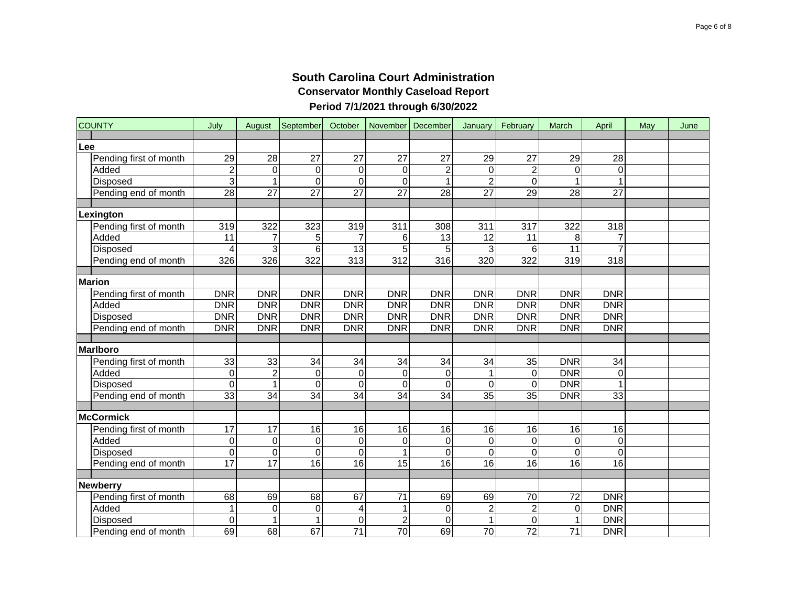| <b>COUNTY</b> |                        | July             | August           | September               | October         |                 | November   December | January         | February         | March            | April            | May | June |
|---------------|------------------------|------------------|------------------|-------------------------|-----------------|-----------------|---------------------|-----------------|------------------|------------------|------------------|-----|------|
| Lee           |                        |                  |                  |                         |                 |                 |                     |                 |                  |                  |                  |     |      |
|               | Pending first of month | 29               | 28               | 27                      | 27              | 27              | 27                  | 29              | 27               | 29               | 28               |     |      |
|               | Added                  | $\overline{2}$   | $\mathbf 0$      | $\mathbf 0$             | 0               | 0               | $\mathbf 2$         | 0               | $\overline{c}$   | $\boldsymbol{0}$ | 0                |     |      |
|               | Disposed               | $\overline{3}$   | $\overline{1}$   | $\overline{\mathsf{o}}$ | $\overline{0}$  | $\overline{0}$  |                     | $\overline{2}$  | $\overline{0}$   | $\overline{1}$   |                  |     |      |
|               | Pending end of month   | 28               | $\overline{27}$  | $\overline{27}$         | $\overline{27}$ | $\overline{27}$ | $\overline{28}$     | $\overline{27}$ | 29               | $\overline{28}$  | $\overline{27}$  |     |      |
| Lexington     |                        |                  |                  |                         |                 |                 |                     |                 |                  |                  |                  |     |      |
|               | Pending first of month | 319              | 322              | 323                     | 319             | 311             | 308                 | 311             | 317              | 322              | 318              |     |      |
|               | Added                  | 11               | $\overline{7}$   | 5                       | $\overline{7}$  | 6               | 13                  | 12              | 11               | 8                | $\overline{7}$   |     |      |
|               | Disposed               | $\overline{4}$   | $\overline{3}$   | $6\phantom{1}$          | $\overline{13}$ | $\overline{5}$  | 5                   | 3               | 6                | $\overline{11}$  | $\overline{7}$   |     |      |
|               | Pending end of month   | 326              | 326              | 322                     | 313             | 312             | 316                 | 320             | 322              | 319              | 318              |     |      |
| <b>Marion</b> |                        |                  |                  |                         |                 |                 |                     |                 |                  |                  |                  |     |      |
|               | Pending first of month | <b>DNR</b>       | <b>DNR</b>       | <b>DNR</b>              | <b>DNR</b>      | <b>DNR</b>      | <b>DNR</b>          | <b>DNR</b>      | <b>DNR</b>       | <b>DNR</b>       | <b>DNR</b>       |     |      |
|               | Added                  | <b>DNR</b>       | <b>DNR</b>       | <b>DNR</b>              | <b>DNR</b>      | <b>DNR</b>      | <b>DNR</b>          | <b>DNR</b>      | <b>DNR</b>       | <b>DNR</b>       | <b>DNR</b>       |     |      |
|               | Disposed               | <b>DNR</b>       | <b>DNR</b>       | <b>DNR</b>              | <b>DNR</b>      | <b>DNR</b>      | <b>DNR</b>          | <b>DNR</b>      | <b>DNR</b>       | <b>DNR</b>       | <b>DNR</b>       |     |      |
|               | Pending end of month   | <b>DNR</b>       | <b>DNR</b>       | <b>DNR</b>              | <b>DNR</b>      | <b>DNR</b>      | <b>DNR</b>          | <b>DNR</b>      | <b>DNR</b>       | <b>DNR</b>       | <b>DNR</b>       |     |      |
|               |                        |                  |                  |                         |                 |                 |                     |                 |                  |                  |                  |     |      |
| Marlboro      |                        |                  |                  |                         |                 |                 |                     |                 |                  |                  |                  |     |      |
|               | Pending first of month | 33               | 33               | 34                      | $\overline{34}$ | 34              | 34                  | 34              | 35               | <b>DNR</b>       | 34               |     |      |
|               | Added                  | $\mathbf 0$      | $\overline{2}$   | $\mathbf 0$             | $\mathbf 0$     | $\pmb{0}$       | 0                   | $\mathbf{1}$    | $\mathbf 0$      | <b>DNR</b>       | $\mathbf 0$      |     |      |
|               | Disposed               | $\mathbf 0$      | $\mathbf{1}$     | $\mathbf 0$             | $\mathbf 0$     | $\mathbf 0$     | $\Omega$            | $\mathbf 0$     | $\Omega$         | <b>DNR</b>       |                  |     |      |
|               | Pending end of month   | 33               | 34               | 34                      | 34              | 34              | 34                  | 35              | 35               | <b>DNR</b>       | 33               |     |      |
|               | McCormick              |                  |                  |                         |                 |                 |                     |                 |                  |                  |                  |     |      |
|               | Pending first of month | $\overline{17}$  | $\overline{17}$  | 16                      | 16              | 16              | 16                  | 16              | 16               | 16               | 16               |     |      |
|               | Added                  | $\pmb{0}$        | $\boldsymbol{0}$ | $\Omega$                | 0               | $\pmb{0}$       | 0                   | $\pmb{0}$       | $\boldsymbol{0}$ | $\pmb{0}$        | $\boldsymbol{0}$ |     |      |
|               | Disposed               | $\boldsymbol{0}$ | $\mathbf 0$      | $\mathbf 0$             | $\mathbf 0$     | $\mathbf{1}$    | 0                   | $\mathbf 0$     | $\mathbf 0$      | $\mathsf 0$      | $\mathbf 0$      |     |      |
|               | Pending end of month   | 17               | 17               | 16                      | $\overline{16}$ | $\overline{15}$ | $\overline{16}$     | 16              | 16               | $\overline{16}$  | $\overline{16}$  |     |      |
| Newberry      |                        |                  |                  |                         |                 |                 |                     |                 |                  |                  |                  |     |      |
|               | Pending first of month | 68               | 69               | 68                      | 67              | 71              | 69                  | 69              | 70               | 72               | <b>DNR</b>       |     |      |
|               | Added                  | $\mathbf{1}$     | $\mathbf 0$      | $\Omega$                | 4               | $\mathbf{1}$    | $\mathbf 0$         | $\mathbf 2$     | $\overline{c}$   | $\mathsf 0$      | <b>DNR</b>       |     |      |
|               | Disposed               | $\mathbf 0$      | $\mathbf{1}$     | $\mathbf{1}$            | $\pmb{0}$       | $\overline{2}$  | $\mathbf 0$         | $\mathbf{1}$    | $\boldsymbol{0}$ | $\mathbf{1}$     | <b>DNR</b>       |     |      |
|               | Pending end of month   | 69               | 68               | 67                      | $\overline{71}$ | $\overline{70}$ | 69                  | $\overline{70}$ | $\overline{72}$  | $\overline{71}$  | <b>DNR</b>       |     |      |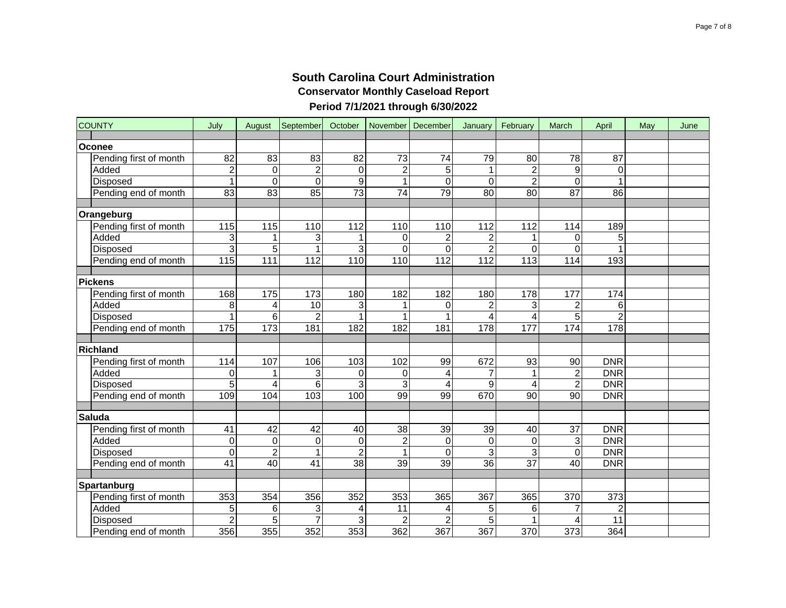| <b>COUNTY</b>          | July             | August          | September       | October         |                         | November   December | January          | February                | March            | April           | May | June |
|------------------------|------------------|-----------------|-----------------|-----------------|-------------------------|---------------------|------------------|-------------------------|------------------|-----------------|-----|------|
| Oconee                 |                  |                 |                 |                 |                         |                     |                  |                         |                  |                 |     |      |
| Pending first of month | 82               | 83              | 83              | 82              | 73                      | 74                  | 79               | 80                      | 78               | 87              |     |      |
| Added                  | $\overline{2}$   | $\Omega$        | $\overline{2}$  | $\Omega$        | $\overline{c}$          | 5                   |                  | $\overline{c}$          | 9                | 0               |     |      |
| Disposed               | $\mathbf{1}$     | $\Omega$        | $\Omega$        | 9               | $\mathbf{1}$            | $\mathbf 0$         | 0                | $\overline{2}$          | $\Omega$         | 1               |     |      |
| Pending end of month   | 83               | $\overline{83}$ | 85              | $\overline{73}$ | $\overline{74}$         | 79                  | 80               | 80                      | 87               | $\overline{86}$ |     |      |
|                        |                  |                 |                 |                 |                         |                     |                  |                         |                  |                 |     |      |
| Orangeburg             |                  |                 |                 |                 |                         |                     |                  |                         |                  |                 |     |      |
| Pending first of month | 115              | 115             | 110             | 112             | 110                     | 110                 | 112              | 112                     | 114              | 189             |     |      |
| Added                  | 3                |                 | 3               |                 | $\mathbf 0$             | $\overline{c}$      | $\overline{2}$   | $\mathbf{1}$            | 0                | 5               |     |      |
| Disposed               | 3                | 5               | $\overline{1}$  | 3               | $\overline{0}$          | $\overline{0}$      | $\overline{2}$   | $\mathbf 0$             | 0                | 1               |     |      |
| Pending end of month   | 115              | 111             | 112             | 110             | 110                     | 112                 | 112              | 113                     | 114              | 193             |     |      |
|                        |                  |                 |                 |                 |                         |                     |                  |                         |                  |                 |     |      |
| <b>Pickens</b>         |                  |                 |                 |                 |                         |                     |                  |                         |                  |                 |     |      |
| Pending first of month | 168              | 175             | 173             | 180             | 182                     | 182                 | 180              | 178                     | 177              | 174             |     |      |
| Added                  | 8                | 4               | 10              | 3               | 1                       | 0                   | $\boldsymbol{2}$ | 3                       | $\overline{c}$   | 6               |     |      |
| Disposed               | $\overline{1}$   | 6               | $\overline{2}$  |                 | 1                       | 1                   | 4                | $\overline{\mathbf{4}}$ | 5                | $\overline{2}$  |     |      |
| Pending end of month   | $\frac{1}{175}$  | $\frac{1}{173}$ | 181             | 182             | 182                     | 181                 | 178              | 177                     | 174              | 178             |     |      |
|                        |                  |                 |                 |                 |                         |                     |                  |                         |                  |                 |     |      |
| <b>Richland</b>        |                  |                 |                 |                 |                         |                     |                  |                         |                  |                 |     |      |
| Pending first of month | 114              | 107             | 106             | 103             | 102                     | 99                  | 672              | 93                      | 90               | <b>DNR</b>      |     |      |
| Added                  | 0                | 1               | 3               | 0               | 0                       | 4                   | $\overline{7}$   | $\mathbf{1}$            | $\overline{c}$   | <b>DNR</b>      |     |      |
| Disposed               | 5                | 4               | 6               | 3               | 3                       | 4                   | 9                | $\overline{\mathbf{4}}$ | $\overline{c}$   | <b>DNR</b>      |     |      |
| Pending end of month   | 109              | 104             | 103             | 100             | 99                      | 99                  | 670              | 90                      | 90               | <b>DNR</b>      |     |      |
|                        |                  |                 |                 |                 |                         |                     |                  |                         |                  |                 |     |      |
| <b>Saluda</b>          |                  |                 |                 |                 |                         |                     |                  |                         |                  |                 |     |      |
| Pending first of month | 41               | $\overline{42}$ | 42              | 40              | $\overline{38}$         | $\overline{39}$     | 39               | 40                      | $\overline{37}$  | <b>DNR</b>      |     |      |
| Added                  | $\mathbf 0$      | $\mathbf 0$     | $\mathbf 0$     | $\mathbf 0$     | $\overline{c}$          | 0                   | 0                | $\mathbf 0$             | 3                | <b>DNR</b>      |     |      |
| <b>Disposed</b>        | $\boldsymbol{0}$ | $\overline{c}$  | $\mathbf{1}$    | $\overline{2}$  | $\mathbf{1}$            | 0                   | 3                | 3                       | $\mathbf 0$      | <b>DNR</b>      |     |      |
| Pending end of month   | $\overline{41}$  | 40              | $\overline{41}$ | $\overline{38}$ | $\overline{39}$         | $\overline{39}$     | $\overline{36}$  | $\overline{37}$         | 40               | <b>DNR</b>      |     |      |
| Spartanburg            |                  |                 |                 |                 |                         |                     |                  |                         |                  |                 |     |      |
| Pending first of month | 353              | 354             | 356             | 352             | 353                     | 365                 | 367              | 365                     | 370              | 373             |     |      |
| Added                  | 5                | 6               | 3               | 4               | 11                      | 4                   | 5                | 6                       | 7                | $\overline{c}$  |     |      |
| Disposed               | $\overline{2}$   | 5               | $\overline{7}$  | 3               | $\overline{\mathbf{c}}$ | $\overline{2}$      | $\overline{5}$   | $\mathbf{1}$            | 4                | $\overline{11}$ |     |      |
| Pending end of month   | 356              | 355             | 352             | 353             | 362                     | 367                 | 367              | $\overline{370}$        | $\overline{373}$ | 364             |     |      |